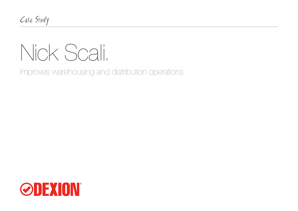Case Study

## Nick Scali.

Improves warehousing and distribution operations.

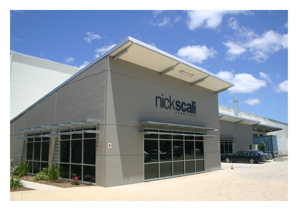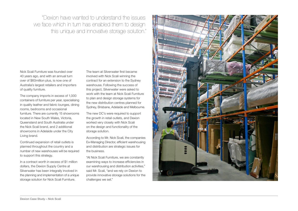"Dexion have wanted to understand the issues we face which in turn has enabled them to design this unique and innovative storage solution."

Nick Scali Furniture was founded over 40 years ago, and with an annual turn over of \$60million plus, is now one of Australia's largest retailers and importers of quality furniture.

The company imports in excess of 1,000 containers of furniture per year, specialising in quality leather and fabric lounges, dining rooms, bedrooms and occasional furniture. There are currently 15 showrooms located in New South Wales, Victoria, Queensland and South Australia under the Nick Scali brand, and 2 additional showrooms in Adelaide under the City Living brand.

Continued expansion of retail outlets is planned throughout the country and a number of new warehouses will be required to support this strategy.

In a contract worth in excess of \$1 million dollars, the Dexion Supply Centre at Silverwater has been integrally involved in the planning and implementation of a unique storage solution for Nick Scali Furniture.

The team at Silverwater first became involved with Nick Scali winning the contract for an extension to the Sydney warehouse. Following the success of this project, Silverwater were asked to work with the team at Nick Scali Furniture to plan and design storage systems for the new distribution centres planned for Sydney, Brisbane, Adelaide and Melbourne.

The new DC's were required to support the growth in retail outlets, and Dexion worked very closely with Nick Scali on the design and functionality of the storage solution.

According to Mr. Nick Scali, the companies Ex-Managing Director, efficient warehousing and distribution are strategic issues for the business.

"At Nick Scali Furniture, we are constantly examining ways to increase efficiencies in our warehousing and distribution activities," said Mr. Scali, "and we rely on Dexion to provide innovative storage solutions for the challenges we set."